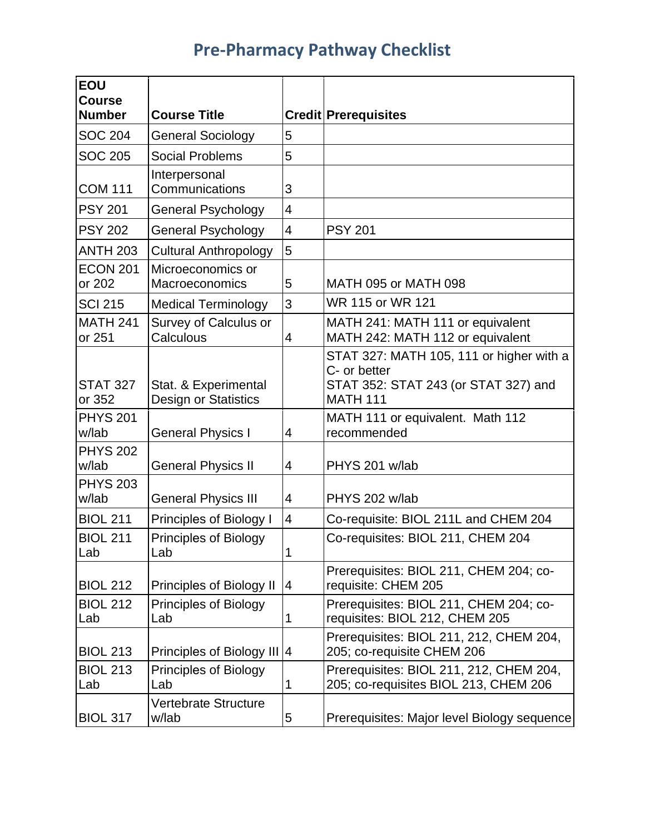## **Pre-Pharmacy Pathway Checklist**

| <b>EOU</b><br><b>Course</b><br><b>Number</b> | <b>Course Title</b>                          |                         | <b>Credit Prerequisites</b>                                                                                         |
|----------------------------------------------|----------------------------------------------|-------------------------|---------------------------------------------------------------------------------------------------------------------|
| <b>SOC 204</b>                               | <b>General Sociology</b>                     | 5                       |                                                                                                                     |
| <b>SOC 205</b>                               | <b>Social Problems</b>                       | 5                       |                                                                                                                     |
| <b>COM 111</b>                               | Interpersonal<br>Communications              | 3                       |                                                                                                                     |
| <b>PSY 201</b>                               | <b>General Psychology</b>                    | $\overline{4}$          |                                                                                                                     |
| <b>PSY 202</b>                               | <b>General Psychology</b>                    | $\overline{4}$          | <b>PSY 201</b>                                                                                                      |
| <b>ANTH 203</b>                              | <b>Cultural Anthropology</b>                 | 5                       |                                                                                                                     |
| <b>ECON 201</b><br>or 202                    | Microeconomics or<br>Macroeconomics          | 5                       | MATH 095 or MATH 098                                                                                                |
| <b>SCI 215</b>                               | <b>Medical Terminology</b>                   | 3                       | WR 115 or WR 121                                                                                                    |
| <b>MATH 241</b><br>or 251                    | Survey of Calculus or<br>Calculous           | 4                       | MATH 241: MATH 111 or equivalent<br>MATH 242: MATH 112 or equivalent                                                |
| <b>STAT 327</b><br>or 352                    | Stat. & Experimental<br>Design or Statistics |                         | STAT 327: MATH 105, 111 or higher with a<br>C- or better<br>STAT 352: STAT 243 (or STAT 327) and<br><b>MATH 111</b> |
| <b>PHYS 201</b><br>w/lab                     | <b>General Physics I</b>                     | 4                       | MATH 111 or equivalent. Math 112<br>recommended                                                                     |
| <b>PHYS 202</b><br>w/lab                     | <b>General Physics II</b>                    | 4                       | PHYS 201 w/lab                                                                                                      |
| <b>PHYS 203</b><br>w/lab                     | <b>General Physics III</b>                   | 4                       | PHYS 202 w/lab                                                                                                      |
| <b>BIOL 211</b>                              | Principles of Biology I                      | $\overline{\mathbf{4}}$ | Co-requisite: BIOL 211L and CHEM 204                                                                                |
| <b>BIOL 211</b><br>Lab                       | <b>Principles of Biology</b><br>Lab          | 1                       | Co-requisites: BIOL 211, CHEM 204                                                                                   |
| <b>BIOL 212</b>                              | Principles of Biology II                     | 4                       | Prerequisites: BIOL 211, CHEM 204; co-<br>requisite: CHEM 205                                                       |
| <b>BIOL 212</b><br>Lab                       | Principles of Biology<br>Lab                 | $\mathbf 1$             | Prerequisites: BIOL 211, CHEM 204; co-<br>requisites: BIOL 212, CHEM 205                                            |
| <b>BIOL 213</b>                              | Principles of Biology III 4                  |                         | Prerequisites: BIOL 211, 212, CHEM 204,<br>205; co-requisite CHEM 206                                               |
| <b>BIOL 213</b><br>Lab                       | Principles of Biology<br>Lab                 | 1                       | Prerequisites: BIOL 211, 212, CHEM 204,<br>205; co-requisites BIOL 213, CHEM 206                                    |
| <b>BIOL 317</b>                              | Vertebrate Structure<br>w/lab                | 5                       | Prerequisites: Major level Biology sequence                                                                         |